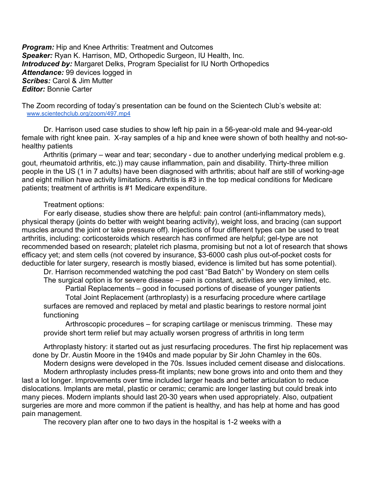**Program:** Hip and Knee Arthritis: Treatment and Outcomes Speaker: Ryan K. Harrison, MD, Orthopedic Surgeon, IU Health, Inc. **Introduced by:** Margaret Delks, Program Specialist for IU North Orthopedics Attendance: 99 devices logged in Scribes: Carol & Jim Mutter **Editor: Bonnie Carter** 

The Zoom recording of today's presentation can be found on the Scientech Club's website at: www.scientechclub.org/zoom/497.mp4

 Dr. Harrison used case studies to show left hip pain in a 56-year-old male and 94-year-old female with right knee pain. X-ray samples of a hip and knee were shown of both healthy and not-sohealthy patients

 Arthritis (primary – wear and tear; secondary - due to another underlying medical problem e.g. gout, rheumatoid arthritis, etc.)) may cause inflammation, pain and disability. Thirty-three million people in the US (1 in 7 adults) have been diagnosed with arthritis; about half are still of working-age and eight million have activity limitations. Arthritis is #3 in the top medical conditions for Medicare patients; treatment of arthritis is #1 Medicare expenditure.

## Treatment options:

 For early disease, studies show there are helpful: pain control (anti-inflammatory meds), physical therapy (joints do better with weight bearing activity), weight loss, and bracing (can support muscles around the joint or take pressure off). Injections of four different types can be used to treat arthritis, including: corticosteroids which research has confirmed are helpful; gel-type are not recommended based on research; platelet rich plasma, promising but not a lot of research that shows efficacy yet; and stem cells (not covered by insurance, \$3-6000 cash plus out-of-pocket costs for deductible for later surgery, research is mostly biased, evidence is limited but has some potential).

 Dr. Harrison recommended watching the pod cast "Bad Batch" by Wondery on stem cells The surgical option is for severe disease – pain is constant, activities are very limited, etc.

 Partial Replacements – good in focused portions of disease of younger patients Total Joint Replacement (arthroplasty) is a resurfacing procedure where cartilage surfaces are removed and replaced by metal and plastic bearings to restore normal joint functioning

 Arthroscopic procedures – for scraping cartilage or meniscus trimming. These may provide short term relief but may actually worsen progress of arthritis in long term

 Arthroplasty history: it started out as just resurfacing procedures. The first hip replacement was done by Dr. Austin Moore in the 1940s and made popular by Sir John Chamley in the 60s.

 Modern designs were developed in the 70s. Issues included cement disease and dislocations. Modern arthroplasty includes press-fit implants; new bone grows into and onto them and they last a lot longer. Improvements over time included larger heads and better articulation to reduce dislocations. Implants are metal, plastic or ceramic; ceramic are longer lasting but could break into many pieces. Modern implants should last 20-30 years when used appropriately. Also, outpatient surgeries are more and more common if the patient is healthy, and has help at home and has good pain management.

The recovery plan after one to two days in the hospital is 1-2 weeks with a